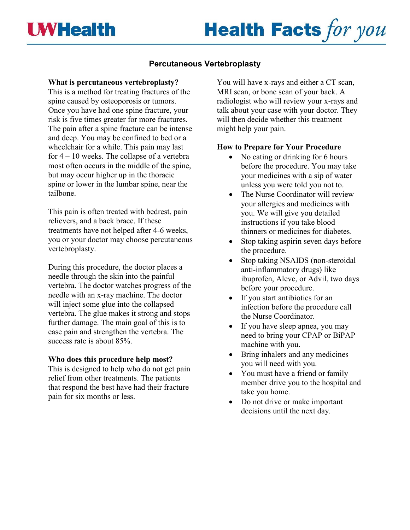# **Health Facts for you**

# **Percutaneous Vertebroplasty**

## **What is percutaneous vertebroplasty?**

This is a method for treating fractures of the spine caused by osteoporosis or tumors. Once you have had one spine fracture, your risk is five times greater for more fractures. The pain after a spine fracture can be intense and deep. You may be confined to bed or a wheelchair for a while. This pain may last for 4 – 10 weeks. The collapse of a vertebra most often occurs in the middle of the spine, but may occur higher up in the thoracic spine or lower in the lumbar spine, near the tailbone.

This pain is often treated with bedrest, pain relievers, and a back brace. If these treatments have not helped after 4-6 weeks, you or your doctor may choose percutaneous vertebroplasty.

During this procedure, the doctor places a needle through the skin into the painful vertebra. The doctor watches progress of the needle with an x-ray machine. The doctor will inject some glue into the collapsed vertebra. The glue makes it strong and stops further damage. The main goal of this is to ease pain and strengthen the vertebra. The success rate is about 85%.

#### **Who does this procedure help most?**

This is designed to help who do not get pain relief from other treatments. The patients that respond the best have had their fracture pain for six months or less.

You will have x-rays and either a CT scan, MRI scan, or bone scan of your back. A radiologist who will review your x-rays and talk about your case with your doctor. They will then decide whether this treatment might help your pain.

## **How to Prepare for Your Procedure**

- No eating or drinking for 6 hours before the procedure. You may take your medicines with a sip of water unless you were told you not to.
- The Nurse Coordinator will review your allergies and medicines with you. We will give you detailed instructions if you take blood thinners or medicines for diabetes.
- Stop taking aspirin seven days before the procedure.
- Stop taking NSAIDS (non-steroidal anti-inflammatory drugs) like ibuprofen, Aleve, or Advil, two days before your procedure.
- If you start antibiotics for an infection before the procedure call the Nurse Coordinator.
- If you have sleep apnea, you may need to bring your CPAP or BiPAP machine with you.
- Bring inhalers and any medicines you will need with you.
- You must have a friend or family member drive you to the hospital and take you home.
- Do not drive or make important decisions until the next day.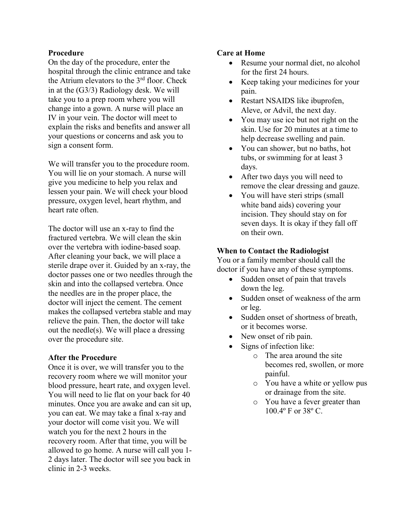#### **Procedure**

On the day of the procedure, enter the hospital through the clinic entrance and take the Atrium elevators to the 3<sup>rd</sup> floor. Check in at the (G3/3) Radiology desk. We will take you to a prep room where you will change into a gown. A nurse will place an IV in your vein. The doctor will meet to explain the risks and benefits and answer all your questions or concerns and ask you to sign a consent form.

We will transfer you to the procedure room. You will lie on your stomach. A nurse will give you medicine to help you relax and lessen your pain. We will check your blood pressure, oxygen level, heart rhythm, and heart rate often.

The doctor will use an x-ray to find the fractured vertebra. We will clean the skin over the vertebra with iodine-based soap. After cleaning your back, we will place a sterile drape over it. Guided by an x-ray, the doctor passes one or two needles through the skin and into the collapsed vertebra. Once the needles are in the proper place, the doctor will inject the cement. The cement makes the collapsed vertebra stable and may relieve the pain. Then, the doctor will take out the needle(s). We will place a dressing over the procedure site.

#### **After the Procedure**

Once it is over, we will transfer you to the recovery room where we will monitor your blood pressure, heart rate, and oxygen level. You will need to lie flat on your back for 40 minutes. Once you are awake and can sit up, you can eat. We may take a final x-ray and your doctor will come visit you. We will watch you for the next 2 hours in the recovery room. After that time, you will be allowed to go home. A nurse will call you 1- 2 days later. The doctor will see you back in clinic in 2-3 weeks.

#### **Care at Home**

- Resume your normal diet, no alcohol for the first 24 hours.
- Keep taking your medicines for your pain.
- Restart NSAIDS like ibuprofen, Aleve, or Advil, the next day.
- You may use ice but not right on the skin. Use for 20 minutes at a time to help decrease swelling and pain.
- You can shower, but no baths, hot tubs, or swimming for at least 3 days.
- After two days you will need to remove the clear dressing and gauze.
- You will have steri strips (small white band aids) covering your incision. They should stay on for seven days. It is okay if they fall off on their own.

#### **When to Contact the Radiologist**

You or a family member should call the doctor if you have any of these symptoms.

- Sudden onset of pain that travels down the leg.
- Sudden onset of weakness of the arm or leg.
- Sudden onset of shortness of breath, or it becomes worse.
- New onset of rib pain.
- Signs of infection like:
	- o The area around the site becomes red, swollen, or more painful.
	- o You have a white or yellow pus or drainage from the site.
	- o You have a fever greater than 100.4º F or 38º C.